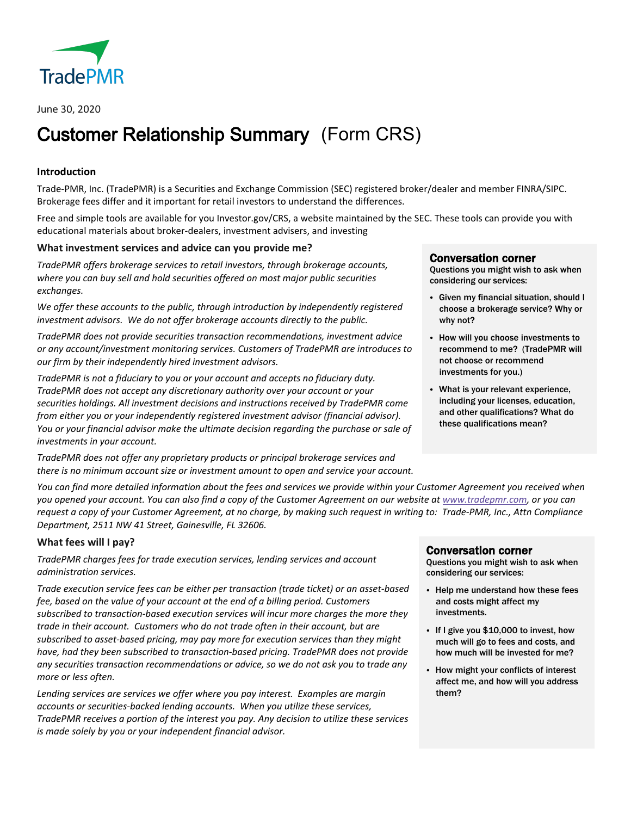

# Customer Relationship Summary (Form CRS)

# **Introduction**

Trade-PMR, Inc. (TradePMR) is a Securities and Exchange Commission (SEC) registered broker/dealer and member FINRA/SIPC. Brokerage fees differ and it important for retail investors to understand the differences.

Free and simple tools are available for you Investor.gov/CRS, a website maintained by the SEC. These tools can provide you with educational materials about broker-dealers, investment advisers, and investing

# **What investment services and advice can you provide me?**

*TradePMR offers brokerage services to retail investors, through brokerage accounts, where you can buy sell and hold securities offered on most major public securities exchanges.* 

*We offer these accounts to the public, through introduction by independently registered investment advisors. We do not offer brokerage accounts directly to the public.* 

*TradePMR does not provide securities transaction recommendations, investment advice or any account/investment monitoring services. Customers of TradePMR are introduces to our firm by their independently hired investment advisors.*

*TradePMR is not a fiduciary to you or your account and accepts no fiduciary duty. TradePMR does not accept any discretionary authority over your account or your securities holdings. All investment decisions and instructions received by TradePMR come from either you or your independently registered investment advisor (financial advisor). You or your financial advisor make the ultimate decision regarding the purchase or sale of investments in your account.*

*TradePMR does not offer any proprietary products or principal brokerage services and there is no minimum account size or investment amount to open and service your account.*

*You can find more detailed information about the fees and services we provide within your Customer Agreement you received when you opened your account. You can also find a copy of the Customer Agreement on our website a[t www.tradepmr.com,](http://www.tradepmr.com/) or you can request a copy of your Customer Agreement, at no charge, by making such request in writing to: Trade-PMR, Inc., Attn Compliance Department, 2511 NW 41 Street, Gainesville, FL 32606.*

# **What fees will I pay?**

*TradePMR charges fees for trade execution services, lending services and account administration services.* 

*Trade execution service fees can be either per transaction (trade ticket) or an asset-based fee, based on the value of your account at the end of a billing period. Customers subscribed to transaction-based execution services will incur more charges the more they trade in their account. Customers who do not trade often in their account, but are subscribed to asset-based pricing, may pay more for execution services than they might have, had they been subscribed to transaction-based pricing. TradePMR does not provide any securities transaction recommendations or advice, so we do not ask you to trade any more or less often.*

*Lending services are services we offer where you pay interest. Examples are margin accounts or securities-backed lending accounts. When you utilize these services, TradePMR receives a portion of the interest you pay. Any decision to utilize these services is made solely by you or your independent financial advisor.*

**Conversation corner**<br>Questions you might wish to ask when considering our services:

- Given my financial situation, should I choose a brokerage service? Why or why not?
- How will you choose investments to recommend to me? (TradePMR will not choose or recommend investments for you.)
- What is your relevant experience, including your licenses, education, and other qualifications? What do these qualifications mean?

**Conversation corner**<br>Questions you might wish to ask when considering our services:

- Help me understand how these fees and costs might affect my investments.
- If I give you \$10,000 to invest, how much will go to fees and costs, and how much will be invested for me?
- How might your conflicts of interest affect me, and how will you address them?